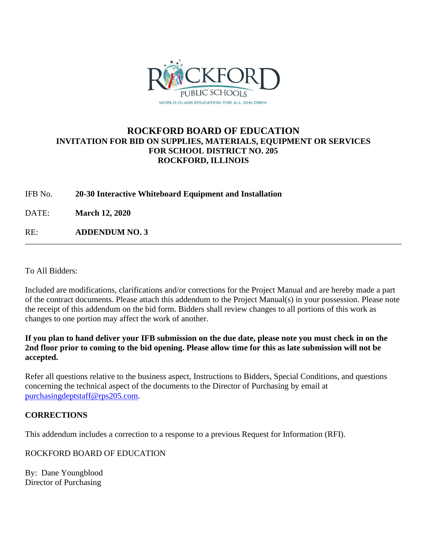

## **ROCKFORD BOARD OF EDUCATION INVITATION FOR BID ON SUPPLIES, MATERIALS, EQUIPMENT OR SERVICES FOR SCHOOL DISTRICT NO. 205 ROCKFORD, ILLINOIS**

IFB No. **20-30 Interactive Whiteboard Equipment and Installation**

DATE: **March 12, 2020**

RE: **ADDENDUM NO. 3**

To All Bidders:

Included are modifications, clarifications and/or corrections for the Project Manual and are hereby made a part of the contract documents. Please attach this addendum to the Project Manual(s) in your possession. Please note the receipt of this addendum on the bid form. Bidders shall review changes to all portions of this work as changes to one portion may affect the work of another.

**If you plan to hand deliver your IFB submission on the due date, please note you must check in on the 2nd floor prior to coming to the bid opening. Please allow time for this as late submission will not be accepted.**

Refer all questions relative to the business aspect, Instructions to Bidders, Special Conditions, and questions concerning the technical aspect of the documents to the Director of Purchasing by email at [purchasingdeptstaff@rps205.com.](mailto:purchasingdeptstaff@rps205.com)

## **CORRECTIONS**

This addendum includes a correction to a response to a previous Request for Information (RFI).

ROCKFORD BOARD OF EDUCATION

By: Dane Youngblood Director of Purchasing